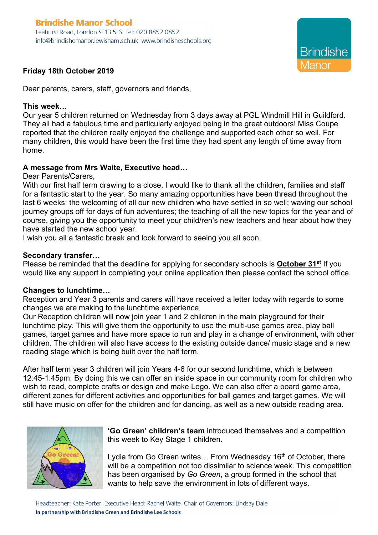# **Brindishe Manor School**

Leahurst Road, London SE13 5LS Tel: 020 8852 0852 info@brindishemanor.lewisham.sch.uk www.brindisheschools.org



# **Friday 18th October 2019**

Dear parents, carers, staff, governors and friends,

#### **This week…**

Our year 5 children returned on Wednesday from 3 days away at PGL Windmill Hill in Guildford. They all had a fabulous time and particularly enjoyed being in the great outdoors! Miss Coupe reported that the children really enjoyed the challenge and supported each other so well. For many children, this would have been the first time they had spent any length of time away from home.

### **A message from Mrs Waite, Executive head…**

Dear Parents/Carers,

With our first half term drawing to a close, I would like to thank all the children, families and staff for a fantastic start to the year. So many amazing opportunities have been thread throughout the last 6 weeks: the welcoming of all our new children who have settled in so well; waving our school journey groups off for days of fun adventures; the teaching of all the new topics for the year and of course, giving you the opportunity to meet your child/ren's new teachers and hear about how they have started the new school year.

I wish you all a fantastic break and look forward to seeing you all soon.

#### **Secondary transfer…**

Please be reminded that the deadline for applying for secondary schools is **October 31st** If you would like any support in completing your online application then please contact the school office.

#### **Changes to lunchtime…**

Reception and Year 3 parents and carers will have received a letter today with regards to some changes we are making to the lunchtime experience

Our Reception children will now join year 1 and 2 children in the main playground for their lunchtime play. This will give them the opportunity to use the multi-use games area, play ball games, target games and have more space to run and play in a change of environment, with other children. The children will also have access to the existing outside dance/ music stage and a new reading stage which is being built over the half term.

After half term year 3 children will join Years 4-6 for our second lunchtime, which is between 12:45-1:45pm. By doing this we can offer an inside space in our community room for children who wish to read, complete crafts or design and make Lego. We can also offer a board game area, different zones for different activities and opportunities for ball games and target games. We will still have music on offer for the children and for dancing, as well as a new outside reading area.



**'Go Green' children's team** introduced themselves and a competition this week to Key Stage 1 children.

Lydia from Go Green writes... From Wednesday 16<sup>th</sup> of October, there will be a competition not too dissimilar to science week. This competition has been organised by *Go Green*, a group formed in the school that wants to help save the environment in lots of different ways.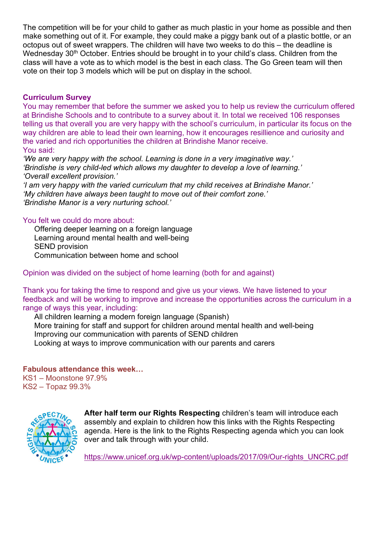The competition will be for your child to gather as much plastic in your home as possible and then make something out of it. For example, they could make a piggy bank out of a plastic bottle, or an octopus out of sweet wrappers. The children will have two weeks to do this – the deadline is Wednesday 30<sup>th</sup> October. Entries should be brought in to your child's class. Children from the class will have a vote as to which model is the best in each class. The Go Green team will then vote on their top 3 models which will be put on display in the school.

### **Curriculum Survey**

You may remember that before the summer we asked you to help us review the curriculum offered at Brindishe Schools and to contribute to a survey about it. In total we received 106 responses telling us that overall you are very happy with the school's curriculum, in particular its focus on the way children are able to lead their own learning, how it encourages resillience and curiosity and the varied and rich opportunities the children at Brindishe Manor receive. You said:

*'We are very happy with the school. Learning is done in a very imaginative way.' 'Brindishe is very child-led which allows my daughter to develop a love of learning.' 'Overall excellent provision.'*

*'I am very happy with the varied curriculum that my child receives at Brindishe Manor.' 'My children have always been taught to move out of their comfort zone.' 'Brindishe Manor is a very nurturing school.'*

### You felt we could do more about:

Offering deeper learning on a foreign language Learning around mental health and well-being SEND provision Communication between home and school

Opinion was divided on the subject of home learning (both for and against)

Thank you for taking the time to respond and give us your views. We have listened to your feedback and will be working to improve and increase the opportunities across the curriculum in a range of ways this year, including:

All children learning a modern foreign language (Spanish) More training for staff and support for children around mental health and well-being Improving our communication with parents of SEND children Looking at ways to improve communication with our parents and carers

# **Fabulous attendance this week…**

KS1 – Moonstone 97.9% KS2 – Topaz 99.3%



**After half term our Rights Respecting** children's team will introduce each assembly and explain to children how this links with the Rights Respecting agenda. Here is the link to the Rights Respecting agenda which you can look over and talk through with your child.

https://www.unicef.org.uk/wp-content/uploads/2017/09/Our-rights\_UNCRC.pdf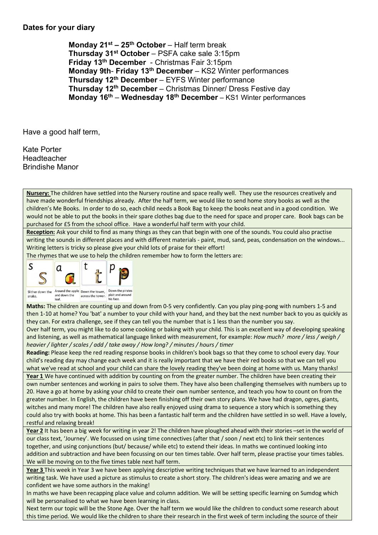#### **Dates for your diary**

**Monday 21st – 25th October** – Half term break **Thursday 31st October** – PSFA cake sale 3:15pm **Friday 13th December** - Christmas Fair 3:15pm **Monday 9th**- **Friday 13th December** – KS2 Winter performances **Thursday 12th December** – EYFS Winter performance **Thursday 12th December** – Christmas Dinner/ Dress Festive day **Monday 16th** – **Wednesday 18th December** – KS1 Winter performances

Have a good half term,

Kate Porter Headteacher Brindishe Manor

**Nursery:** The children have settled into the Nursery routine and space really well. They use the resources creatively and have made wonderful friendships already. After the half term, we would like to send home story books as well as the children's Me Books. In order to do so, each child needs a Book Bag to keep the books neat and in a good condition. We would not be able to put the books in their spare clothes bag due to the need for space and proper care. Book bags can be purchased for £5 from the school office. Have a wonderful half term with your child.

**Reception:** Ask your child to find as many things as they can that begin with one of the sounds. You could also practise writing the sounds in different places and with different materials - paint, mud, sand, peas, condensation on the windows... Writing letters is tricky so please give your child lots of praise for their effort!

The rhymes that we use to help the children remember how to form the letters are:



**Maths:** The children are counting up and down from 0-5 very confidently. Can you play ping-pong with numbers 1-5 and then 1-10 at home? You 'bat' a number to your child with your hand, and they bat the next number back to you as quickly as they can. For extra challenge, see if they can tell you the number that is 1 less than the number you say.

Over half term, you might like to do some cooking or baking with your child. This is an excellent way of developing speaking and listening, as well as mathematical language linked with measurement, for example: *How much? more / less / weigh / heavier / lighter / scales / add / take away / How long? / minutes / hours / timer*

**Reading:** Please keep the red reading response books in children's book bags so that they come to school every day. Your child's reading day may change each week and it is really important that we have their red books so that we can tell you what we've read at school and your child can share the lovely reading they've been doing at home with us. Many thanks! **Year 1** We have continued with addition by counting on from the greater number. The children have been creating their own number sentences and working in pairs to solve them. They have also been challenging themselves with numbers up to 20. Have a go at home by asking your child to create their own number sentence, and teach you how to count on from the greater number. In English, the children have been finishing off their own story plans. We have had dragon, ogres, giants, witches and many more! The children have also really enjoyed using drama to sequence a story which is something they could also try with books at home. This has been a fantastic half term and the children have settled in so well. Have a lovely, restful and relaxing break!

**Year 2** It has been a big week for writing in year 2! The children have ploughed ahead with their stories –set in the world of our class text, 'Journey'. We focussed on using time connectives (after that / soon / next etc) to link their sentences together, and using conjunctions (but/ because/ while etc) to extend their ideas. In maths we continued looking into addition and subtraction and have been focussing on our ten times table. Over half term, please practise your times tables. We will be moving on to the five times table next half term.

**Year 3** This week in Year 3 we have been applying descriptive writing techniques that we have learned to an independent writing task. We have used a picture as stimulus to create a short story. The children's ideas were amazing and we are confident we have some authors in the making!

In maths we have been recapping place value and column addition. We will be setting specific learning on Sumdog which will be personalised to what we have been learning in class.

Next term our topic will be the Stone Age. Over the half term we would like the children to conduct some research about this time period. We would like the children to share their research in the first week of term including the source of their